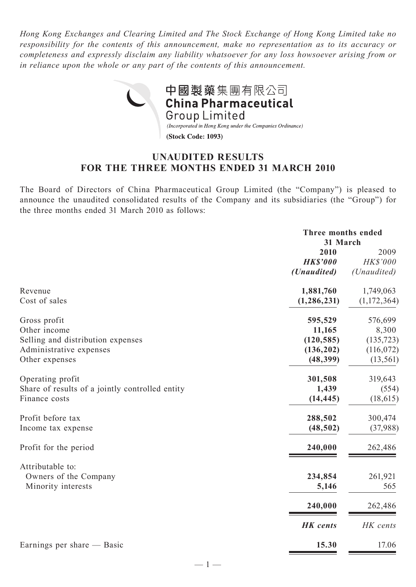*Hong Kong Exchanges and Clearing Limited and The Stock Exchange of Hong Kong Limited take no responsibility for the contents of this announcement, make no representation as to its accuracy or completeness and expressly disclaim any liability whatsoever for any loss howsoever arising from or in reliance upon the whole or any part of the contents of this announcement.*



# **UNAUDITED RESULTS FOR THE THREE MONTHS ENDED 31 MARCH 2010**

The Board of Directors of China Pharmaceutical Group Limited (the "Company") is pleased to announce the unaudited consolidated results of the Company and its subsidiaries (the "Group") for the three months ended 31 March 2010 as follows:

|                                                 | Three months ended<br>31 March |             |  |
|-------------------------------------------------|--------------------------------|-------------|--|
|                                                 | 2010                           | 2009        |  |
|                                                 | <b>HK\$'000</b>                | HK\$'000    |  |
|                                                 | ( <i>Unaudited</i> )           | (Unaudited) |  |
| Revenue                                         | 1,881,760                      | 1,749,063   |  |
| Cost of sales                                   | (1, 286, 231)                  | (1,172,364) |  |
| Gross profit                                    | 595,529                        | 576,699     |  |
| Other income                                    | 11,165                         | 8,300       |  |
| Selling and distribution expenses               | (120, 585)                     | (135, 723)  |  |
| Administrative expenses                         | (136, 202)                     | (116, 072)  |  |
| Other expenses                                  | (48, 399)                      | (13, 561)   |  |
| Operating profit                                | 301,508                        | 319,643     |  |
| Share of results of a jointly controlled entity | 1,439                          | (554)       |  |
| Finance costs                                   | (14, 445)                      | (18, 615)   |  |
| Profit before tax                               | 288,502                        | 300,474     |  |
| Income tax expense                              | (48, 502)                      | (37,988)    |  |
| Profit for the period                           | 240,000                        | 262,486     |  |
| Attributable to:                                |                                |             |  |
| Owners of the Company                           | 234,854                        | 261,921     |  |
| Minority interests                              | 5,146                          | 565         |  |
|                                                 | 240,000                        | 262,486     |  |
|                                                 | <b>HK</b> cents                | HK cents    |  |
| Earnings per share — Basic                      | 15.30                          | 17.06       |  |

 $-1-$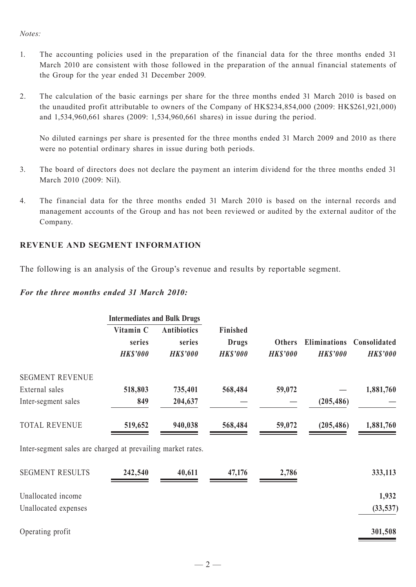#### *Notes:*

- 1. The accounting policies used in the preparation of the financial data for the three months ended 31 March 2010 are consistent with those followed in the preparation of the annual financial statements of the Group for the year ended 31 December 2009.
- 2. The calculation of the basic earnings per share for the three months ended 31 March 2010 is based on the unaudited profit attributable to owners of the Company of HK\$234,854,000 (2009: HK\$261,921,000) and 1,534,960,661 shares (2009: 1,534,960,661 shares) in issue during the period.

 No diluted earnings per share is presented for the three months ended 31 March 2009 and 2010 as there were no potential ordinary shares in issue during both periods.

- 3. The board of directors does not declare the payment an interim dividend for the three months ended 31 March 2010 (2009: Nil).
- 4. The financial data for the three months ended 31 March 2010 is based on the internal records and management accounts of the Group and has not been reviewed or audited by the external auditor of the Company.

### **REVENUE AND SEGMENT INFORMATION**

The following is an analysis of the Group's revenue and results by reportable segment.

#### *For the three months ended 31 March 2010:*

|                                                             | <b>Intermediates and Bulk Drugs</b>    |                                                 |                                             |                                  |                                        |                                 |
|-------------------------------------------------------------|----------------------------------------|-------------------------------------------------|---------------------------------------------|----------------------------------|----------------------------------------|---------------------------------|
|                                                             | Vitamin C<br>series<br><b>HK\$'000</b> | <b>Antibiotics</b><br>series<br><b>HK\$'000</b> | Finished<br><b>Drugs</b><br><b>HK\$'000</b> | <b>Others</b><br><b>HK\$'000</b> | <b>Eliminations</b><br><b>HK\$'000</b> | Consolidated<br><b>HK\$'000</b> |
| <b>SEGMENT REVENUE</b>                                      |                                        |                                                 |                                             |                                  |                                        |                                 |
| External sales                                              | 518,803                                | 735,401                                         | 568,484                                     | 59,072                           |                                        | 1,881,760                       |
| Inter-segment sales                                         | 849                                    | 204,637                                         |                                             |                                  | (205, 486)                             |                                 |
| <b>TOTAL REVENUE</b>                                        | 519,652                                | 940,038                                         | 568,484                                     | 59,072                           | (205, 486)                             | 1,881,760                       |
| Inter-segment sales are charged at prevailing market rates. |                                        |                                                 |                                             |                                  |                                        |                                 |
| <b>SEGMENT RESULTS</b>                                      | 242,540                                | 40,611                                          | 47,176                                      | 2,786                            |                                        | 333,113                         |
| Unallocated income                                          |                                        |                                                 |                                             |                                  |                                        | 1,932                           |
| Unallocated expenses                                        |                                        |                                                 |                                             |                                  |                                        | (33, 537)                       |
| Operating profit                                            |                                        |                                                 |                                             |                                  |                                        | 301,508                         |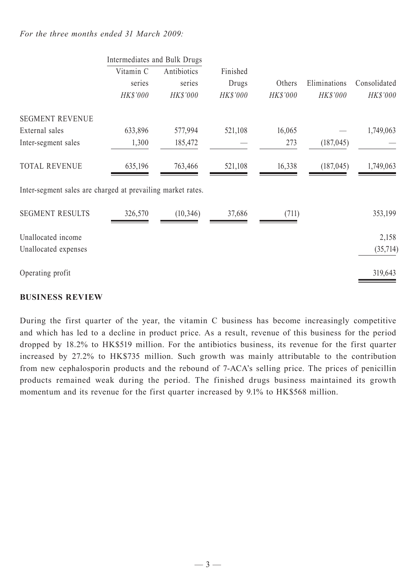## *For the three months ended 31 March 2009:*

|                                                             | Intermediates and Bulk Drugs |             |          |          |              |              |
|-------------------------------------------------------------|------------------------------|-------------|----------|----------|--------------|--------------|
|                                                             | Vitamin C                    | Antibiotics | Finished |          |              |              |
|                                                             | series                       | series      | Drugs    | Others   | Eliminations | Consolidated |
|                                                             | HK\$'000                     | HK\$'000    | HK\$'000 | HK\$'000 | HK\$'000     | HK\$'000     |
| <b>SEGMENT REVENUE</b>                                      |                              |             |          |          |              |              |
| External sales                                              | 633,896                      | 577,994     | 521,108  | 16,065   |              | 1,749,063    |
| Inter-segment sales                                         | 1,300                        | 185,472     |          | 273      | (187, 045)   |              |
| <b>TOTAL REVENUE</b>                                        | 635,196                      | 763,466     | 521,108  | 16,338   | (187, 045)   | 1,749,063    |
| Inter-segment sales are charged at prevailing market rates. |                              |             |          |          |              |              |
| <b>SEGMENT RESULTS</b>                                      | 326,570                      | (10, 346)   | 37,686   | (711)    |              | 353,199      |
| Unallocated income                                          |                              |             |          |          |              | 2,158        |
| Unallocated expenses                                        |                              |             |          |          |              | (35,714)     |
| Operating profit                                            |                              |             |          |          |              | 319,643      |
|                                                             |                              |             |          |          |              |              |

## **BUSINESS REVIEW**

During the first quarter of the year, the vitamin C business has become increasingly competitive and which has led to a decline in product price. As a result, revenue of this business for the period dropped by 18.2% to HK\$519 million. For the antibiotics business, its revenue for the first quarter increased by 27.2% to HK\$735 million. Such growth was mainly attributable to the contribution from new cephalosporin products and the rebound of 7-ACA's selling price. The prices of penicillin products remained weak during the period. The finished drugs business maintained its growth momentum and its revenue for the first quarter increased by 9.1% to HK\$568 million.